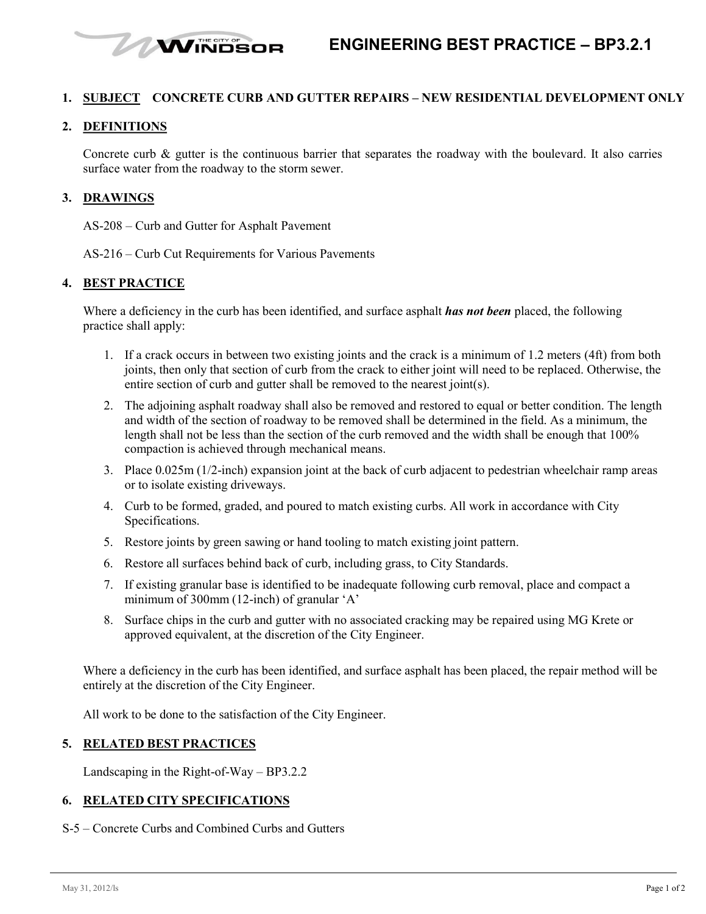

# **1. SUBJECT CONCRETE CURB AND GUTTER REPAIRS – NEW RESIDENTIAL DEVELOPMENT ONLY**

### **2. DEFINITIONS**

Concrete curb & gutter is the continuous barrier that separates the roadway with the boulevard. It also carries surface water from the roadway to the storm sewer.

#### **3. DRAWINGS**

AS-208 – Curb and Gutter for Asphalt Pavement

AS-216 – Curb Cut Requirements for Various Pavements

#### **4. BEST PRACTICE**

Where a deficiency in the curb has been identified, and surface asphalt *has not been* placed, the following practice shall apply:

- 1. If a crack occurs in between two existing joints and the crack is a minimum of 1.2 meters (4ft) from both joints, then only that section of curb from the crack to either joint will need to be replaced. Otherwise, the entire section of curb and gutter shall be removed to the nearest joint(s).
- 2. The adjoining asphalt roadway shall also be removed and restored to equal or better condition. The length and width of the section of roadway to be removed shall be determined in the field. As a minimum, the length shall not be less than the section of the curb removed and the width shall be enough that 100% compaction is achieved through mechanical means.
- 3. Place 0.025m (1/2-inch) expansion joint at the back of curb adjacent to pedestrian wheelchair ramp areas or to isolate existing driveways.
- 4. Curb to be formed, graded, and poured to match existing curbs. All work in accordance with City Specifications.
- 5. Restore joints by green sawing or hand tooling to match existing joint pattern.
- 6. Restore all surfaces behind back of curb, including grass, to City Standards.
- 7. If existing granular base is identified to be inadequate following curb removal, place and compact a minimum of 300mm (12-inch) of granular 'A'
- 8. Surface chips in the curb and gutter with no associated cracking may be repaired using MG Krete or approved equivalent, at the discretion of the City Engineer.

Where a deficiency in the curb has been identified, and surface asphalt has been placed, the repair method will be entirely at the discretion of the City Engineer.

All work to be done to the satisfaction of the City Engineer.

#### **5. RELATED BEST PRACTICES**

Landscaping in the Right-of-Way – BP3.2.2

## **6. RELATED CITY SPECIFICATIONS**

S-5 – Concrete Curbs and Combined Curbs and Gutters